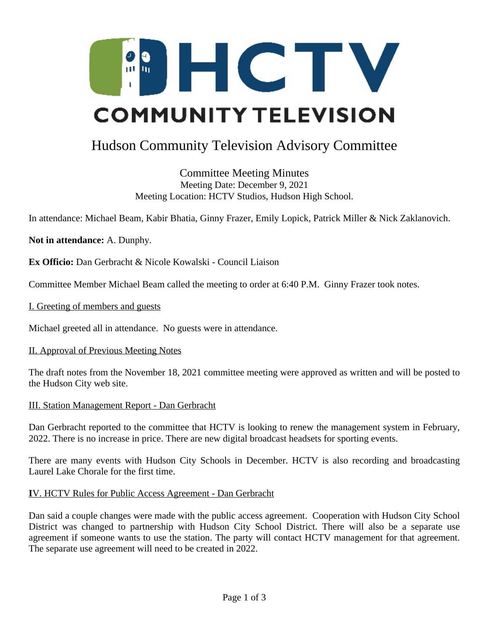

# Hudson Community Television Advisory Committee

Committee Meeting Minutes Meeting Date: December 9, 2021 Meeting Location: HCTV Studios, Hudson High School.

In attendance: Michael Beam, Kabir Bhatia, Ginny Frazer, Emily Lopick, Patrick Miller & Nick Zaklanovich.

**Not in attendance:** A. Dunphy.

**Ex Officio:** Dan Gerbracht & Nicole Kowalski - Council Liaison

Committee Member Michael Beam called the meeting to order at 6:40 P.M. Ginny Frazer took notes.

I. Greeting of members and guests

Michael greeted all in attendance. No guests were in attendance.

#### II. Approval of Previous Meeting Notes

The draft notes from the November 18, 2021 committee meeting were approved as written and will be posted to the Hudson City web site.

#### III. Station Management Report - Dan Gerbracht

Dan Gerbracht reported to the committee that HCTV is looking to renew the management system in February, 2022. There is no increase in price. There are new digital broadcast headsets for sporting events.

There are many events with Hudson City Schools in December. HCTV is also recording and broadcasting Laurel Lake Chorale for the first time.

#### **I**V. HCTV Rules for Public Access Agreement - Dan Gerbracht

Dan said a couple changes were made with the public access agreement. Cooperation with Hudson City School District was changed to partnership with Hudson City School District. There will also be a separate use agreement if someone wants to use the station. The party will contact HCTV management for that agreement. The separate use agreement will need to be created in 2022.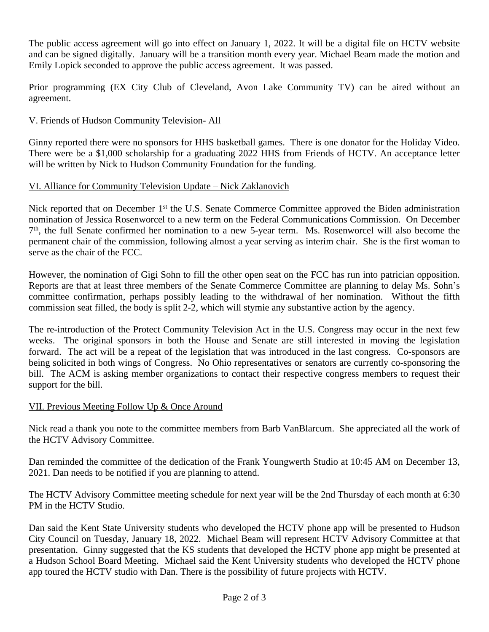The public access agreement will go into effect on January 1, 2022. It will be a digital file on HCTV website and can be signed digitally. January will be a transition month every year. Michael Beam made the motion and Emily Lopick seconded to approve the public access agreement. It was passed.

Prior programming (EX City Club of Cleveland, Avon Lake Community TV) can be aired without an agreement.

## V. Friends of Hudson Community Television- All

Ginny reported there were no sponsors for HHS basketball games. There is one donator for the Holiday Video. There were be a \$1,000 scholarship for a graduating 2022 HHS from Friends of HCTV. An acceptance letter will be written by Nick to Hudson Community Foundation for the funding.

## VI. Alliance for Community Television Update – Nick Zaklanovich

Nick reported that on December 1<sup>st</sup> the U.S. Senate Commerce Committee approved the Biden administration nomination of Jessica Rosenworcel to a new term on the Federal Communications Commission. On December 7 th , the full Senate confirmed her nomination to a new 5-year term. Ms. Rosenworcel will also become the permanent chair of the commission, following almost a year serving as interim chair. She is the first woman to serve as the chair of the FCC.

However, the nomination of Gigi Sohn to fill the other open seat on the FCC has run into patrician opposition. Reports are that at least three members of the Senate Commerce Committee are planning to delay Ms. Sohn's committee confirmation, perhaps possibly leading to the withdrawal of her nomination. Without the fifth commission seat filled, the body is split 2-2, which will stymie any substantive action by the agency.

The re-introduction of the Protect Community Television Act in the U.S. Congress may occur in the next few weeks. The original sponsors in both the House and Senate are still interested in moving the legislation forward. The act will be a repeat of the legislation that was introduced in the last congress. Co-sponsors are being solicited in both wings of Congress. No Ohio representatives or senators are currently co-sponsoring the bill. The ACM is asking member organizations to contact their respective congress members to request their support for the bill.

## VII. Previous Meeting Follow Up & Once Around

Nick read a thank you note to the committee members from Barb VanBlarcum. She appreciated all the work of the HCTV Advisory Committee.

Dan reminded the committee of the dedication of the Frank Youngwerth Studio at 10:45 AM on December 13, 2021. Dan needs to be notified if you are planning to attend.

The HCTV Advisory Committee meeting schedule for next year will be the 2nd Thursday of each month at 6:30 PM in the HCTV Studio.

Dan said the Kent State University students who developed the HCTV phone app will be presented to Hudson City Council on Tuesday, January 18, 2022. Michael Beam will represent HCTV Advisory Committee at that presentation. Ginny suggested that the KS students that developed the HCTV phone app might be presented at a Hudson School Board Meeting. Michael said the Kent University students who developed the HCTV phone app toured the HCTV studio with Dan. There is the possibility of future projects with HCTV.